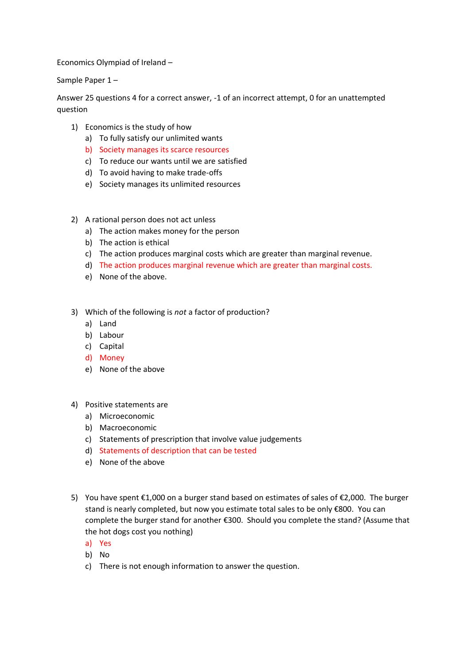Economics Olympiad of Ireland –

Sample Paper 1 –

Answer 25 questions 4 for a correct answer, -1 of an incorrect attempt, 0 for an unattempted question

- 1) Economics is the study of how
	- a) To fully satisfy our unlimited wants
	- b) Society manages its scarce resources
	- c) To reduce our wants until we are satisfied
	- d) To avoid having to make trade-offs
	- e) Society manages its unlimited resources
- 2) A rational person does not act unless
	- a) The action makes money for the person
	- b) The action is ethical
	- c) The action produces marginal costs which are greater than marginal revenue.
	- d) The action produces marginal revenue which are greater than marginal costs.
	- e) None of the above.
- 3) Which of the following is *not* a factor of production?
	- a) Land
	- b) Labour
	- c) Capital
	- d) Money
	- e) None of the above
- 4) Positive statements are
	- a) Microeconomic
	- b) Macroeconomic
	- c) Statements of prescription that involve value judgements
	- d) Statements of description that can be tested
	- e) None of the above
- 5) You have spent €1,000 on a burger stand based on estimates of sales of €2,000. The burger stand is nearly completed, but now you estimate total sales to be only €800. You can complete the burger stand for another €300. Should you complete the stand? (Assume that the hot dogs cost you nothing)
	- a) Yes
	- b) No
	- c) There is not enough information to answer the question.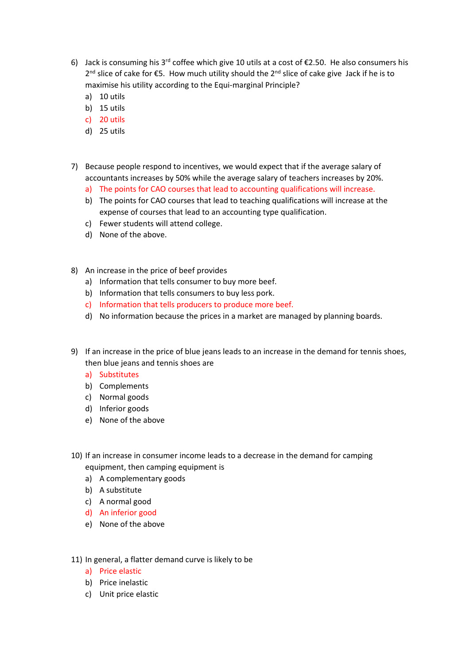- 6) Jack is consuming his 3<sup>rd</sup> coffee which give 10 utils at a cost of  $\epsilon$ 2.50. He also consumers his  $2<sup>nd</sup>$  slice of cake for €5. How much utility should the  $2<sup>nd</sup>$  slice of cake give Jack if he is to maximise his utility according to the Equi-marginal Principle?
	- a) 10 utils
	- b) 15 utils
	- c) 20 utils
	- d) 25 utils
- 7) Because people respond to incentives, we would expect that if the average salary of accountants increases by 50% while the average salary of teachers increases by 20%.
	- a) The points for CAO courses that lead to accounting qualifications will increase.
	- b) The points for CAO courses that lead to teaching qualifications will increase at the expense of courses that lead to an accounting type qualification.
	- c) Fewer students will attend college.
	- d) None of the above.
- 8) An increase in the price of beef provides
	- a) Information that tells consumer to buy more beef.
	- b) Information that tells consumers to buy less pork.
	- c) Information that tells producers to produce more beef.
	- d) No information because the prices in a market are managed by planning boards.
- 9) If an increase in the price of blue jeans leads to an increase in the demand for tennis shoes, then blue jeans and tennis shoes are
	- a) Substitutes
	- b) Complements
	- c) Normal goods
	- d) Inferior goods
	- e) None of the above
- 10) If an increase in consumer income leads to a decrease in the demand for camping equipment, then camping equipment is
	- a) A complementary goods
	- b) A substitute
	- c) A normal good
	- d) An inferior good
	- e) None of the above
- 11) In general, a flatter demand curve is likely to be
	- a) Price elastic
	- b) Price inelastic
	- c) Unit price elastic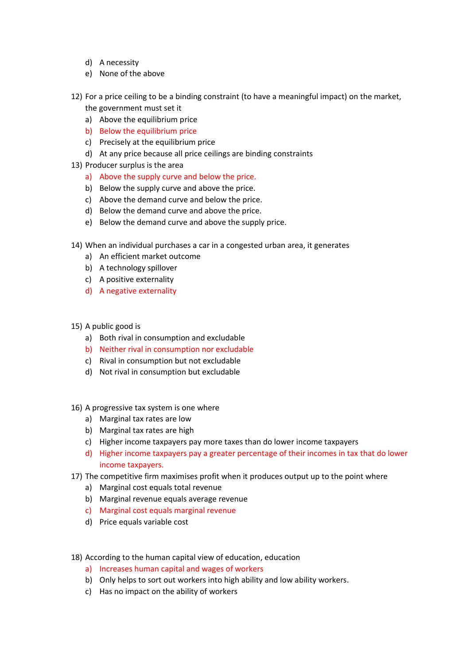- d) A necessity
- e) None of the above
- 12) For a price ceiling to be a binding constraint (to have a meaningful impact) on the market, the government must set it
	- a) Above the equilibrium price
	- b) Below the equilibrium price
	- c) Precisely at the equilibrium price
	- d) At any price because all price ceilings are binding constraints
- 13) Producer surplus is the area
	- a) Above the supply curve and below the price.
	- b) Below the supply curve and above the price.
	- c) Above the demand curve and below the price.
	- d) Below the demand curve and above the price.
	- e) Below the demand curve and above the supply price.
- 14) When an individual purchases a car in a congested urban area, it generates
	- a) An efficient market outcome
	- b) A technology spillover
	- c) A positive externality
	- d) A negative externality
- 15) A public good is
	- a) Both rival in consumption and excludable
	- b) Neither rival in consumption nor excludable
	- c) Rival in consumption but not excludable
	- d) Not rival in consumption but excludable
- 16) A progressive tax system is one where
	- a) Marginal tax rates are low
	- b) Marginal tax rates are high
	- c) Higher income taxpayers pay more taxes than do lower income taxpayers
	- d) Higher income taxpayers pay a greater percentage of their incomes in tax that do lower income taxpayers.
- 17) The competitive firm maximises profit when it produces output up to the point where
	- a) Marginal cost equals total revenue
	- b) Marginal revenue equals average revenue
	- c) Marginal cost equals marginal revenue
	- d) Price equals variable cost
- 18) According to the human capital view of education, education
	- a) Increases human capital and wages of workers
	- b) Only helps to sort out workers into high ability and low ability workers.
	- c) Has no impact on the ability of workers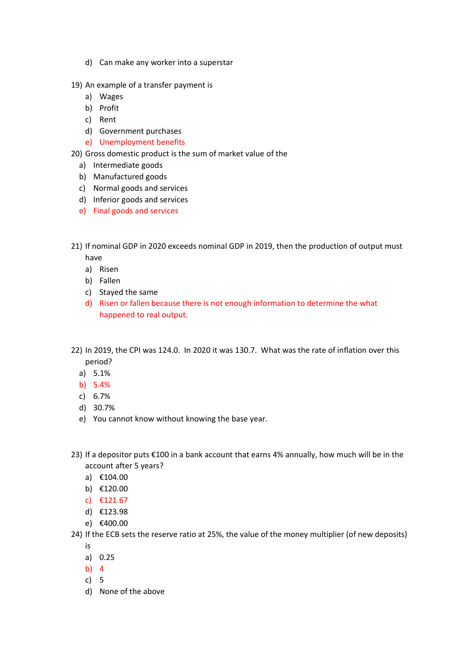- d) Can make any worker into a superstar
- 19) An example of a transfer payment is
	- a) Wages
	- b) Profit
	- c) Rent
	- d) Government purchases
	- e) Unemployment benefits

20) Gross domestic product is the sum of market value of the

- a) Intermediate goods
- b) Manufactured goods
- c) Normal goods and services
- d) Inferior goods and services
- e) Final goods and services
- 21) If nominal GDP in 2020 exceeds nominal GDP in 2019, then the production of output must have
	- a) Risen
	- b) Fallen
	- c) Stayed the same
	- d) Risen or fallen because there is not enough information to determine the what happened to real output.
- 22) In 2019, the CPI was 124.0. In 2020 it was 130.7. What was the rate of inflation over this period?
	- a) 5.1%
	- b) 5.4%
	- c) 6.7%
	- d) 30.7%
	- e) You cannot know without knowing the base year.
- 23) If a depositor puts €100 in a bank account that earns 4% annually, how much will be in the account after 5 years?
	- a) €104.00
	- b) €120.00
	- c) €121.67
	- d) €123.98
	- e) €400.00
- 24) If the ECB sets the reserve ratio at 25%, the value of the money multiplier (of new deposits) is
	- a) 0.25
	- b) 4
	- c) 5
	- d) None of the above